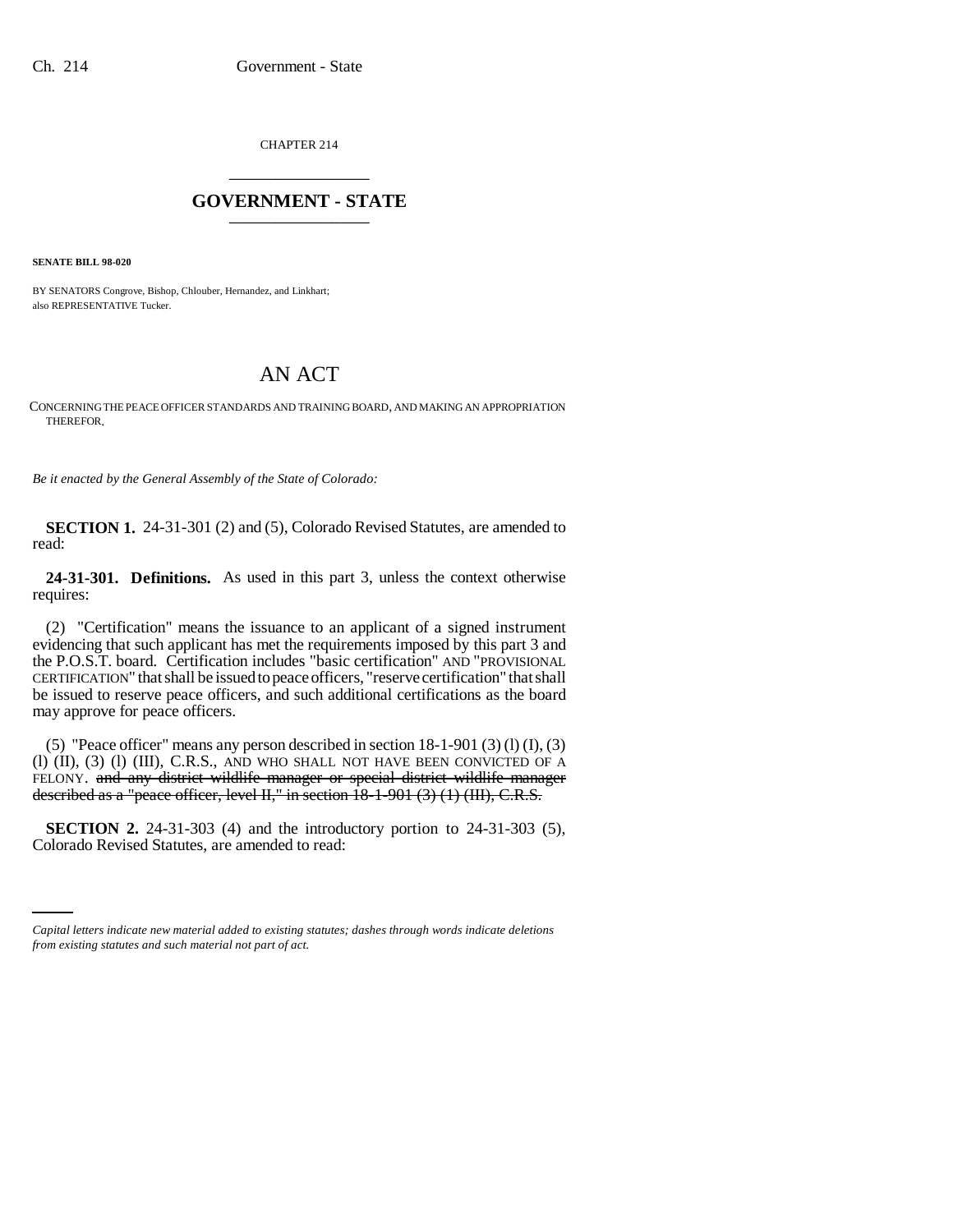CHAPTER 214 \_\_\_\_\_\_\_\_\_\_\_\_\_\_\_

## **GOVERNMENT - STATE** \_\_\_\_\_\_\_\_\_\_\_\_\_\_\_

**SENATE BILL 98-020**

BY SENATORS Congrove, Bishop, Chlouber, Hernandez, and Linkhart; also REPRESENTATIVE Tucker.

## AN ACT

CONCERNING THE PEACE OFFICER STANDARDS AND TRAINING BOARD, AND MAKING AN APPROPRIATION THEREFOR.

*Be it enacted by the General Assembly of the State of Colorado:*

**SECTION 1.** 24-31-301 (2) and (5), Colorado Revised Statutes, are amended to read:

**24-31-301. Definitions.** As used in this part 3, unless the context otherwise requires:

(2) "Certification" means the issuance to an applicant of a signed instrument evidencing that such applicant has met the requirements imposed by this part 3 and the P.O.S.T. board. Certification includes "basic certification" AND "PROVISIONAL CERTIFICATION" that shall be issued to peace officers, "reserve certification" that shall be issued to reserve peace officers, and such additional certifications as the board may approve for peace officers.

(5) "Peace officer" means any person described in section  $18-1-901$  (3) (1) (I), (3) (l) (II), (3) (l) (III), C.R.S., AND WHO SHALL NOT HAVE BEEN CONVICTED OF A FELONY. and any district wildlife manager or special district wildlife manager described as a "peace officer, level II," in section 18-1-901 (3) (1) (III), C.R.S.

**SECTION 2.** 24-31-303 (4) and the introductory portion to 24-31-303 (5), Colorado Revised Statutes, are amended to read:

*Capital letters indicate new material added to existing statutes; dashes through words indicate deletions from existing statutes and such material not part of act.*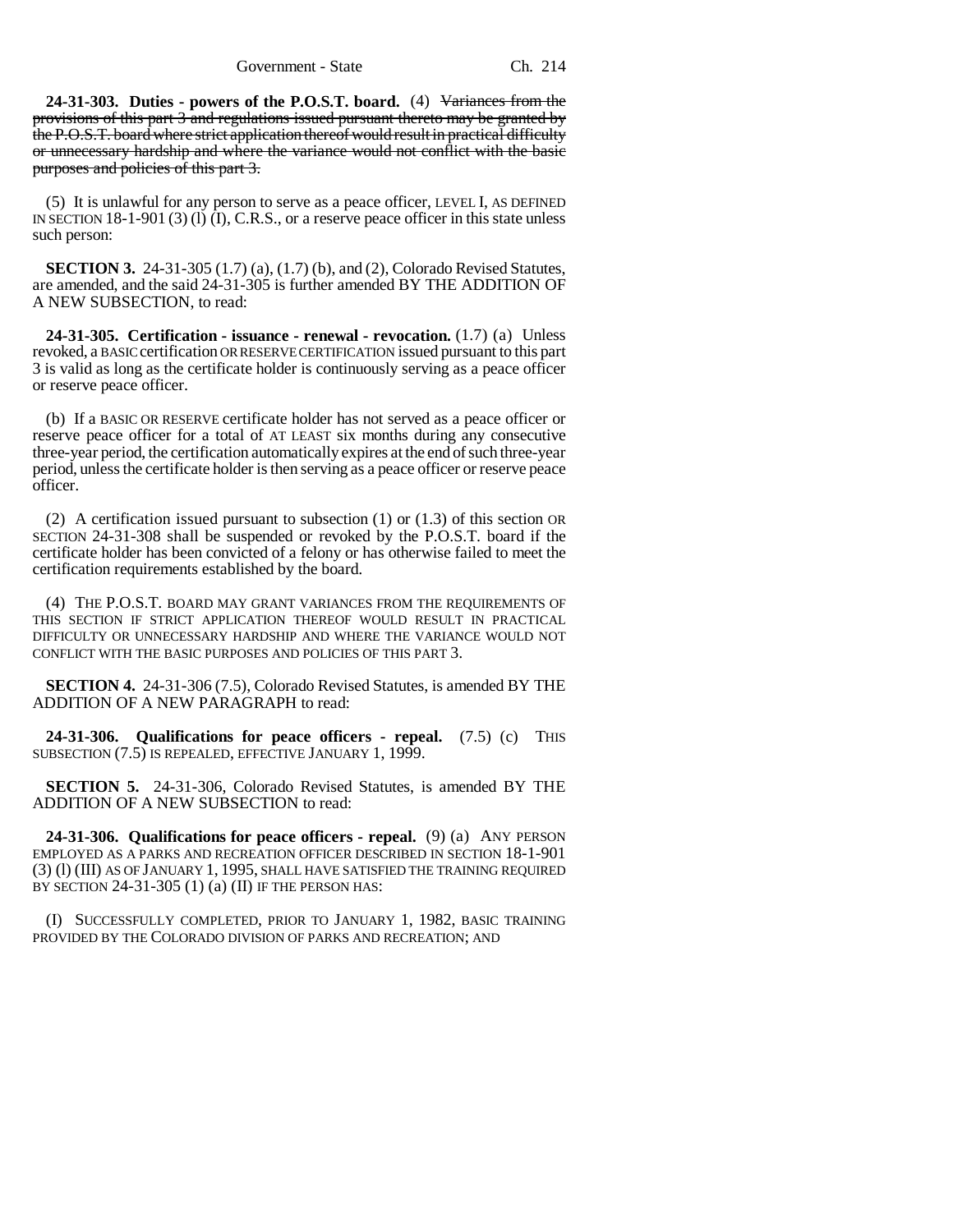Government - State Ch. 214

**24-31-303. Duties - powers of the P.O.S.T. board.** (4) Variances from the provisions of this part 3 and regulations issued pursuant thereto may be granted by the P.O.S.T. board where strict application thereof would result in practical difficulty or unnecessary hardship and where the variance would not conflict with the basic purposes and policies of this part 3.

(5) It is unlawful for any person to serve as a peace officer, LEVEL I, AS DEFINED IN SECTION 18-1-901 (3) (l) (I), C.R.S., or a reserve peace officer in this state unless such person:

**SECTION 3.** 24-31-305 (1.7) (a), (1.7) (b), and (2), Colorado Revised Statutes, are amended, and the said 24-31-305 is further amended BY THE ADDITION OF A NEW SUBSECTION, to read:

**24-31-305. Certification - issuance - renewal - revocation.** (1.7) (a) Unless revoked, a BASIC certification OR RESERVE CERTIFICATION issued pursuant to this part 3 is valid as long as the certificate holder is continuously serving as a peace officer or reserve peace officer.

(b) If a BASIC OR RESERVE certificate holder has not served as a peace officer or reserve peace officer for a total of AT LEAST six months during any consecutive three-year period, the certification automatically expires at the end of such three-year period, unless the certificate holder is then serving as a peace officer or reserve peace officer.

(2) A certification issued pursuant to subsection (1) or (1.3) of this section OR SECTION 24-31-308 shall be suspended or revoked by the P.O.S.T. board if the certificate holder has been convicted of a felony or has otherwise failed to meet the certification requirements established by the board.

(4) THE P.O.S.T. BOARD MAY GRANT VARIANCES FROM THE REQUIREMENTS OF THIS SECTION IF STRICT APPLICATION THEREOF WOULD RESULT IN PRACTICAL DIFFICULTY OR UNNECESSARY HARDSHIP AND WHERE THE VARIANCE WOULD NOT CONFLICT WITH THE BASIC PURPOSES AND POLICIES OF THIS PART 3.

**SECTION 4.** 24-31-306 (7.5), Colorado Revised Statutes, is amended BY THE ADDITION OF A NEW PARAGRAPH to read:

**24-31-306. Qualifications for peace officers - repeal.** (7.5) (c) THIS SUBSECTION (7.5) IS REPEALED, EFFECTIVE JANUARY 1, 1999.

**SECTION 5.** 24-31-306, Colorado Revised Statutes, is amended BY THE ADDITION OF A NEW SUBSECTION to read:

**24-31-306. Qualifications for peace officers - repeal.** (9) (a) ANY PERSON EMPLOYED AS A PARKS AND RECREATION OFFICER DESCRIBED IN SECTION 18-1-901 (3) (l) (III) AS OF JANUARY 1, 1995, SHALL HAVE SATISFIED THE TRAINING REQUIRED BY SECTION  $24-31-305$  (1) (a) (II) IF THE PERSON HAS:

(I) SUCCESSFULLY COMPLETED, PRIOR TO JANUARY 1, 1982, BASIC TRAINING PROVIDED BY THE COLORADO DIVISION OF PARKS AND RECREATION; AND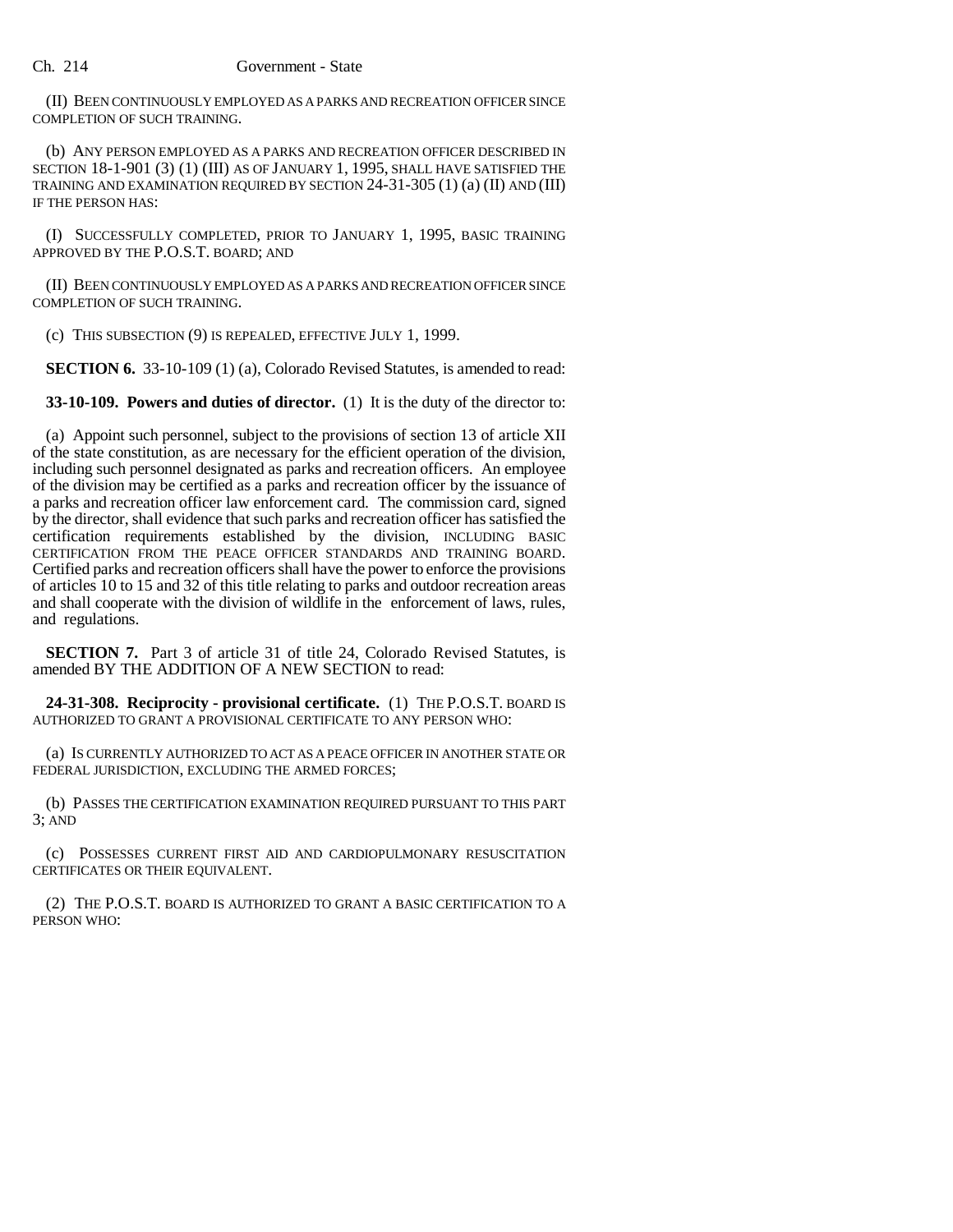(II) BEEN CONTINUOUSLY EMPLOYED AS A PARKS AND RECREATION OFFICER SINCE COMPLETION OF SUCH TRAINING.

(b) ANY PERSON EMPLOYED AS A PARKS AND RECREATION OFFICER DESCRIBED IN SECTION 18-1-901 (3) (1) (III) AS OF JANUARY 1, 1995, SHALL HAVE SATISFIED THE TRAINING AND EXAMINATION REQUIRED BY SECTION 24-31-305 (1) (a) (II) AND (III) IF THE PERSON HAS:

(I) SUCCESSFULLY COMPLETED, PRIOR TO JANUARY 1, 1995, BASIC TRAINING APPROVED BY THE P.O.S.T. BOARD; AND

(II) BEEN CONTINUOUSLY EMPLOYED AS A PARKS AND RECREATION OFFICER SINCE COMPLETION OF SUCH TRAINING.

(c) THIS SUBSECTION (9) IS REPEALED, EFFECTIVE JULY 1, 1999.

**SECTION 6.** 33-10-109 (1) (a), Colorado Revised Statutes, is amended to read:

**33-10-109. Powers and duties of director.** (1) It is the duty of the director to:

(a) Appoint such personnel, subject to the provisions of section 13 of article XII of the state constitution, as are necessary for the efficient operation of the division, including such personnel designated as parks and recreation officers. An employee of the division may be certified as a parks and recreation officer by the issuance of a parks and recreation officer law enforcement card. The commission card, signed by the director, shall evidence that such parks and recreation officer has satisfied the certification requirements established by the division, INCLUDING BASIC CERTIFICATION FROM THE PEACE OFFICER STANDARDS AND TRAINING BOARD. Certified parks and recreation officers shall have the power to enforce the provisions of articles 10 to 15 and 32 of this title relating to parks and outdoor recreation areas and shall cooperate with the division of wildlife in the enforcement of laws, rules, and regulations.

**SECTION 7.** Part 3 of article 31 of title 24, Colorado Revised Statutes, is amended BY THE ADDITION OF A NEW SECTION to read:

**24-31-308. Reciprocity - provisional certificate.** (1) THE P.O.S.T. BOARD IS AUTHORIZED TO GRANT A PROVISIONAL CERTIFICATE TO ANY PERSON WHO:

(a) IS CURRENTLY AUTHORIZED TO ACT AS A PEACE OFFICER IN ANOTHER STATE OR FEDERAL JURISDICTION, EXCLUDING THE ARMED FORCES;

(b) PASSES THE CERTIFICATION EXAMINATION REQUIRED PURSUANT TO THIS PART 3; AND

(c) POSSESSES CURRENT FIRST AID AND CARDIOPULMONARY RESUSCITATION CERTIFICATES OR THEIR EQUIVALENT.

(2) THE P.O.S.T. BOARD IS AUTHORIZED TO GRANT A BASIC CERTIFICATION TO A PERSON WHO: